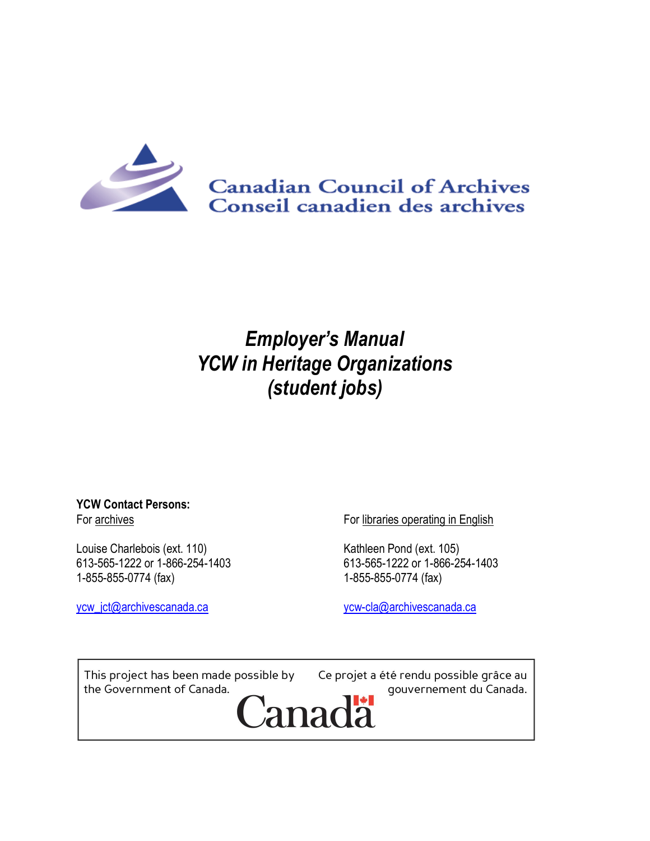

# *Employer's Manual YCW in Heritage Organizations (student jobs)*

#### **YCW Contact Persons:** For archives

Louise Charlebois (ext. 110) 613-565-1222 or 1-866-254-1403 1-855-855-0774 (fax)

[ycw\\_jct@archivescanada.ca](mailto:ycw_jct@archivescanada.ca)

For libraries operating in English

Kathleen Pond (ext. 105) 613-565-1222 or 1-866-254-1403 1-855-855-0774 (fax)

[ycw-cla@archivescanada.ca](mailto:ycw-cla@archivescanada.ca)

This project has been made possible by the Government of Canada.

Ce projet a été rendu possible grâce au gouvernement du Canada.

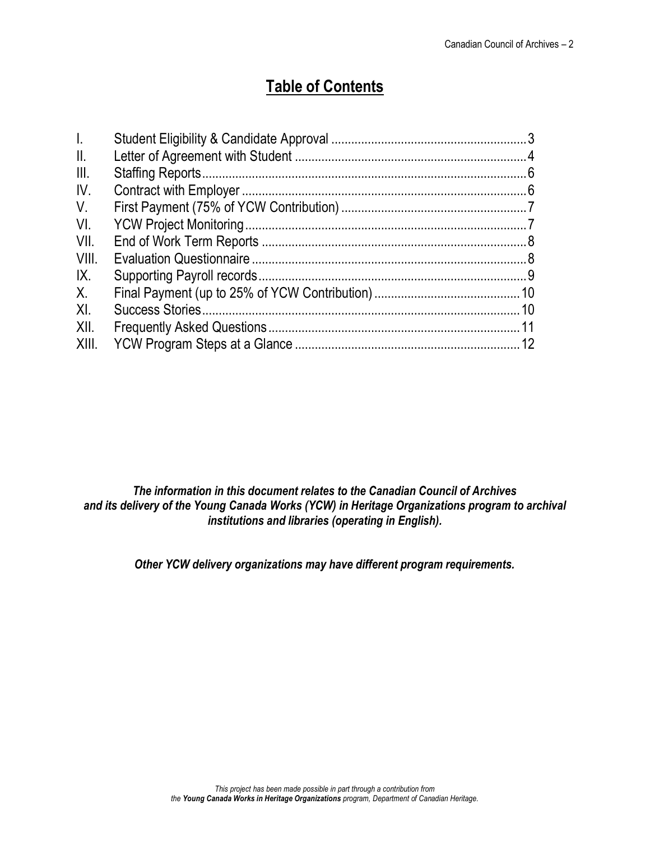## **Table of Contents**

| $\mathbf{L}$   |  |
|----------------|--|
| $\mathbb{I}$ . |  |
| III.           |  |
| IV.            |  |
| $V_{\cdot}$    |  |
| VI.            |  |
| VII.           |  |
| VIII.          |  |
| IX.            |  |
| $X_{\cdot}$    |  |
| XI.            |  |
| XII.           |  |
| XIII.          |  |

*The information in this document relates to the Canadian Council of Archives and its delivery of the Young Canada Works (YCW) in Heritage Organizations program to archival institutions and libraries (operating in English).*

<span id="page-1-0"></span>*Other YCW delivery organizations may have different program requirements.*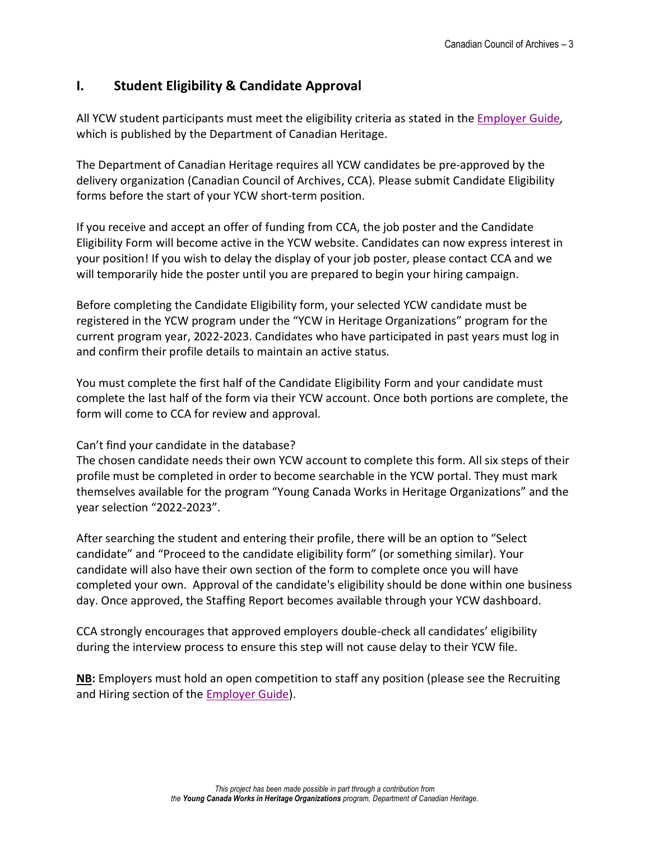## **I. Student Eligibility & Candidate Approval**

All YCW student participants must meet the eligibility criteria as stated in the [Employer Guide](https://www.canada.ca/en/canadian-heritage/services/funding/young-canada-works/employers/employer-guide.html)*,*  which is published by the Department of Canadian Heritage.

The Department of Canadian Heritage requires all YCW candidates be pre-approved by the delivery organization (Canadian Council of Archives, CCA). Please submit Candidate Eligibility forms before the start of your YCW short-term position.

If you receive and accept an offer of funding from CCA, the job poster and the Candidate Eligibility Form will become active in the YCW website. Candidates can now express interest in your position! If you wish to delay the display of your job poster, please contact CCA and we will temporarily hide the poster until you are prepared to begin your hiring campaign.

Before completing the Candidate Eligibility form, your selected YCW candidate must be registered in the YCW program under the "YCW in Heritage Organizations" program for the current program year, 2022-2023. Candidates who have participated in past years must log in and confirm their profile details to maintain an active status.

You must complete the first half of the Candidate Eligibility Form and your candidate must complete the last half of the form via their YCW account. Once both portions are complete, the form will come to CCA for review and approval.

#### Can't find your candidate in the database?

The chosen candidate needs their own YCW account to complete this form. All six steps of their profile must be completed in order to become searchable in the YCW portal. They must mark themselves available for the program "Young Canada Works in Heritage Organizations" and the year selection "2022-2023".

After searching the student and entering their profile, there will be an option to "Select candidate" and "Proceed to the candidate eligibility form" (or something similar). Your candidate will also have their own section of the form to complete once you will have completed your own. Approval of the candidate's eligibility should be done within one business day. Once approved, the Staffing Report becomes available through your YCW dashboard.

CCA strongly encourages that approved employers double-check all candidates' eligibility during the interview process to ensure this step will not cause delay to their YCW file.

**NB:** Employers must hold an open competition to staff any position (please see the Recruiting and Hiring section of the [Employer Guide\)](https://www.canada.ca/en/canadian-heritage/services/funding/young-canada-works/employers/employer-guide.html#a1e1).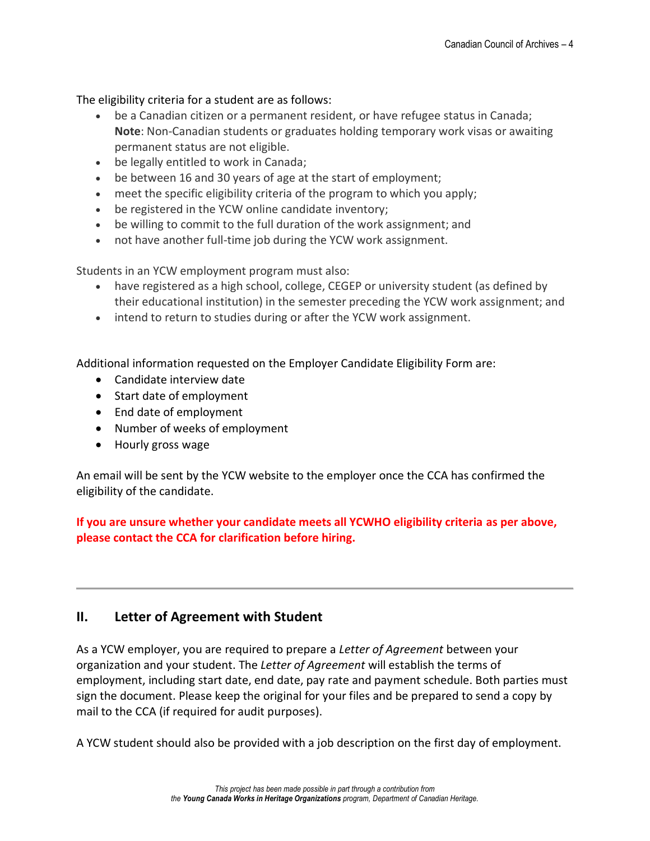The eligibility criteria for a student are as follows:

- be a Canadian citizen or a permanent resident, or have refugee status in Canada; **Note**: Non-Canadian students or graduates holding temporary work visas or awaiting permanent status are not eligible.
- be legally entitled to work in Canada;
- be between 16 and 30 years of age at the start of employment;
- meet the specific eligibility criteria of the program to which you apply;
- be registered in the YCW online candidate inventory;
- be willing to commit to the full duration of the work assignment; and
- not have another full-time job during the YCW work assignment.

Students in an YCW employment program must also:

- have registered as a high school, college, CEGEP or university student (as defined by their educational institution) in the semester preceding the YCW work assignment; and
- intend to return to studies during or after the YCW work assignment.

Additional information requested on the Employer Candidate Eligibility Form are:

- Candidate interview date
- Start date of employment
- End date of employment
- Number of weeks of employment
- Hourly gross wage

An email will be sent by the YCW website to the employer once the CCA has confirmed the eligibility of the candidate.

**If you are unsure whether your candidate meets all YCWHO eligibility criteria as per above, please contact the CCA for clarification before hiring.**

## <span id="page-3-0"></span>**II. Letter of Agreement with Student**

As a YCW employer, you are required to prepare a *Letter of Agreement* between your organization and your student. The *Letter of Agreement* will establish the terms of employment, including start date, end date, pay rate and payment schedule. Both parties must sign the document. Please keep the original for your files and be prepared to send a copy by mail to the CCA (if required for audit purposes).

A YCW student should also be provided with a job description on the first day of employment.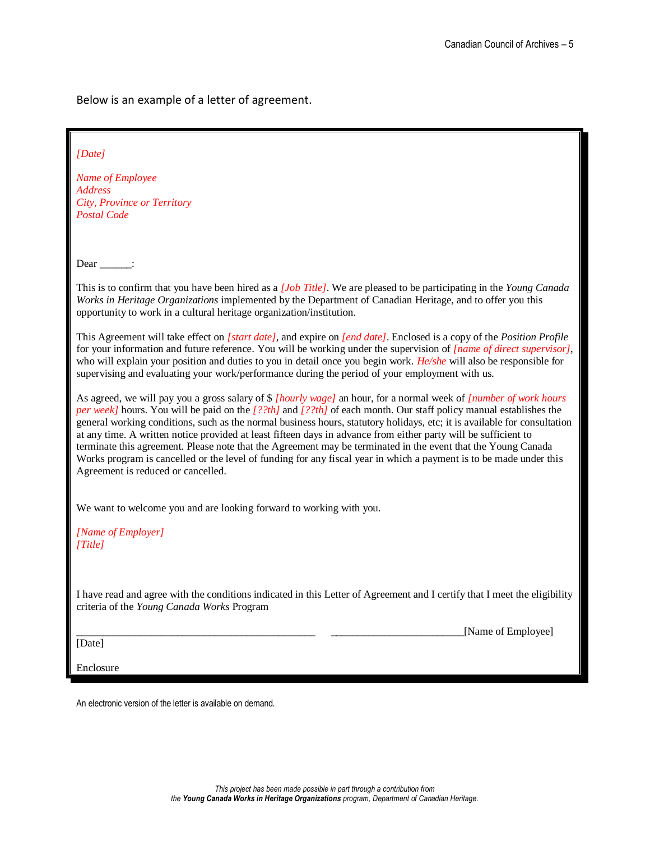Below is an example of a letter of agreement.

| [Date]<br>Name of Employee<br><b>Address</b><br><b>City, Province or Territory</b><br><b>Postal Code</b>                                                                                                                                                                                                                                                                                                                                                                                                                                                                                                                                                                                                                                                               |  |  |
|------------------------------------------------------------------------------------------------------------------------------------------------------------------------------------------------------------------------------------------------------------------------------------------------------------------------------------------------------------------------------------------------------------------------------------------------------------------------------------------------------------------------------------------------------------------------------------------------------------------------------------------------------------------------------------------------------------------------------------------------------------------------|--|--|
| Dear $\_\_\_\_\$ :                                                                                                                                                                                                                                                                                                                                                                                                                                                                                                                                                                                                                                                                                                                                                     |  |  |
| This is to confirm that you have been hired as a [Job Title]. We are pleased to be participating in the Young Canada<br>Works in Heritage Organizations implemented by the Department of Canadian Heritage, and to offer you this<br>opportunity to work in a cultural heritage organization/institution.                                                                                                                                                                                                                                                                                                                                                                                                                                                              |  |  |
| This Agreement will take effect on [start date], and expire on [end date]. Enclosed is a copy of the Position Profile<br>for your information and future reference. You will be working under the supervision of <i>[name of direct supervisor]</i> ,<br>who will explain your position and duties to you in detail once you begin work. $He/she$ will also be responsible for<br>supervising and evaluating your work/performance during the period of your employment with us.                                                                                                                                                                                                                                                                                       |  |  |
| As agreed, we will pay you a gross salary of \$ [hourly wage] an hour, for a normal week of [number of work hours<br>per week] hours. You will be paid on the $[22th]$ and $[22th]$ of each month. Our staff policy manual establishes the<br>general working conditions, such as the normal business hours, statutory holidays, etc; it is available for consultation<br>at any time. A written notice provided at least fifteen days in advance from either party will be sufficient to<br>terminate this agreement. Please note that the Agreement may be terminated in the event that the Young Canada<br>Works program is cancelled or the level of funding for any fiscal year in which a payment is to be made under this<br>Agreement is reduced or cancelled. |  |  |
| We want to welcome you and are looking forward to working with you.                                                                                                                                                                                                                                                                                                                                                                                                                                                                                                                                                                                                                                                                                                    |  |  |
| [Name of Employer]<br>[Title]                                                                                                                                                                                                                                                                                                                                                                                                                                                                                                                                                                                                                                                                                                                                          |  |  |
| I have read and agree with the conditions indicated in this Letter of Agreement and I certify that I meet the eligibility<br>criteria of the Young Canada Works Program                                                                                                                                                                                                                                                                                                                                                                                                                                                                                                                                                                                                |  |  |
| [Name of Employee]<br>[Date]                                                                                                                                                                                                                                                                                                                                                                                                                                                                                                                                                                                                                                                                                                                                           |  |  |
| Enclosure                                                                                                                                                                                                                                                                                                                                                                                                                                                                                                                                                                                                                                                                                                                                                              |  |  |
|                                                                                                                                                                                                                                                                                                                                                                                                                                                                                                                                                                                                                                                                                                                                                                        |  |  |

An electronic version of the letter is available on demand.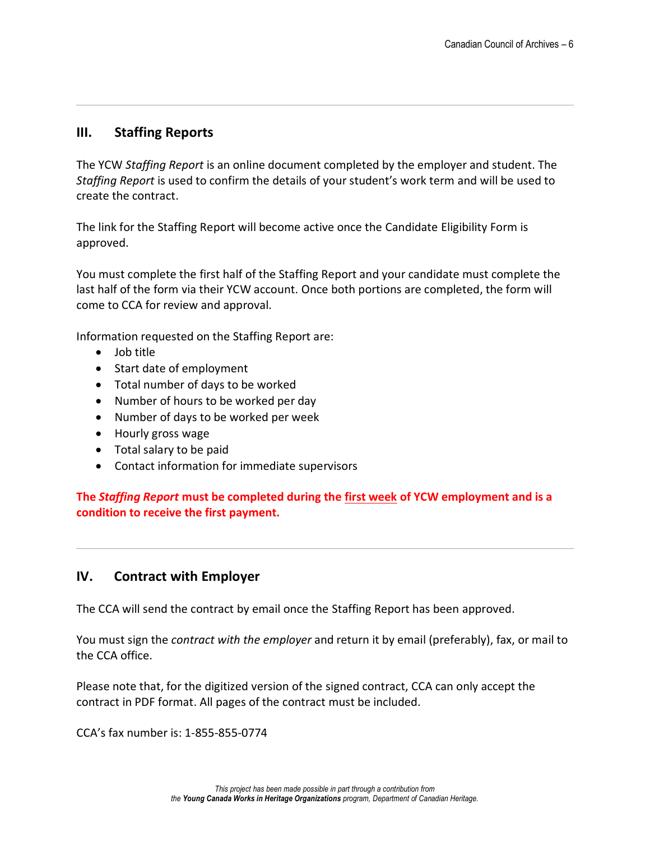### <span id="page-5-0"></span>**III. Staffing Reports**

The YCW *Staffing Report* is an online document completed by the employer and student. The *Staffing Report* is used to confirm the details of your student's work term and will be used to create the contract.

The link for the Staffing Report will become active once the Candidate Eligibility Form is approved.

You must complete the first half of the Staffing Report and your candidate must complete the last half of the form via their YCW account. Once both portions are completed, the form will come to CCA for review and approval.

Information requested on the Staffing Report are:

- Job title
- Start date of employment
- Total number of days to be worked
- Number of hours to be worked per day
- Number of days to be worked per week
- Hourly gross wage
- Total salary to be paid
- Contact information for immediate supervisors

**The** *Staffing Report* **must be completed during the first week of YCW employment and is a condition to receive the first payment.**

## <span id="page-5-1"></span>**IV. Contract with Employer**

The CCA will send the contract by email once the Staffing Report has been approved.

You must sign the *contract with the employer* and return it by email (preferably), fax, or mail to the CCA office.

Please note that, for the digitized version of the signed contract, CCA can only accept the contract in PDF format. All pages of the contract must be included.

CCA's fax number is: 1-855-855-0774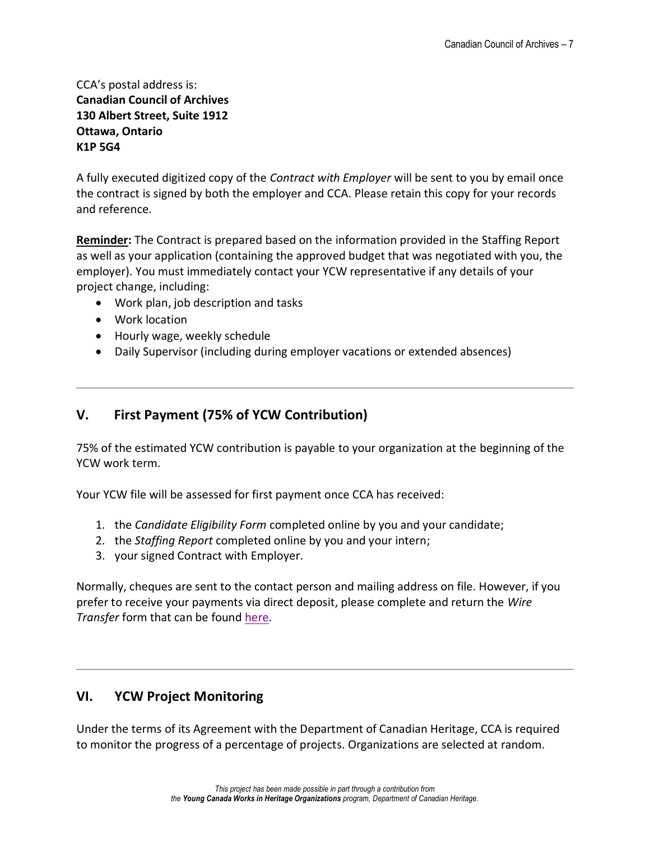#### CCA's postal address is: **Canadian Council of Archives 130 Albert Street, Suite 1912 Ottawa, Ontario K1P 5G4**

A fully executed digitized copy of the *Contract with Employer* will be sent to you by email once the contract is signed by both the employer and CCA. Please retain this copy for your records and reference.

**Reminder:** The Contract is prepared based on the information provided in the Staffing Report as well as your application (containing the approved budget that was negotiated with you, the employer). You must immediately contact your YCW representative if any details of your project change, including:

- Work plan, job description and tasks
- Work location
- Hourly wage, weekly schedule
- Daily Supervisor (including during employer vacations or extended absences)

### <span id="page-6-0"></span>**V. First Payment (75% of YCW Contribution)**

75% of the estimated YCW contribution is payable to your organization at the beginning of the YCW work term.

Your YCW file will be assessed for first payment once CCA has received:

- 1. the *Candidate Eligibility Form* completed online by you and your candidate;
- 2. the *Staffing Report* completed online by you and your intern;
- 3. your signed Contract with Employer.

Normally, cheques are sent to the contact person and mailing address on file. However, if you prefer to receive your payments via direct deposit, please complete and return the *Wire Transfer* form that can be found [here.](http://archivescanada.ca/YCW#DocumentsEN)

## <span id="page-6-1"></span>**VI. YCW Project Monitoring**

Under the terms of its Agreement with the Department of Canadian Heritage, CCA is required to monitor the progress of a percentage of projects. Organizations are selected at random.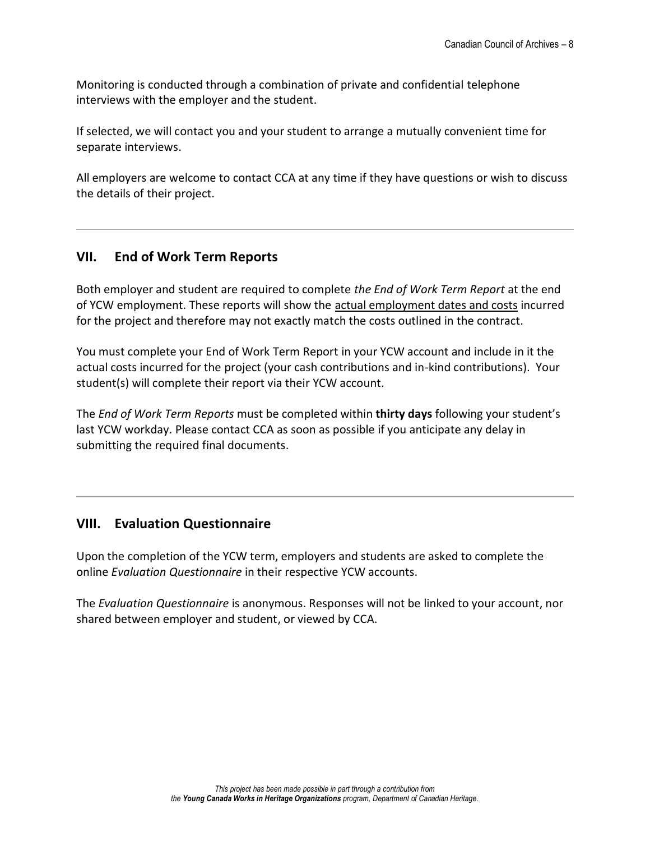Monitoring is conducted through a combination of private and confidential telephone interviews with the employer and the student.

If selected, we will contact you and your student to arrange a mutually convenient time for separate interviews.

All employers are welcome to contact CCA at any time if they have questions or wish to discuss the details of their project.

## <span id="page-7-0"></span>**VII. End of Work Term Reports**

Both employer and student are required to complete *the End of Work Term Report* at the end of YCW employment. These reports will show the actual employment dates and costs incurred for the project and therefore may not exactly match the costs outlined in the contract.

You must complete your End of Work Term Report in your YCW account and include in it the actual costs incurred for the project (your cash contributions and in-kind contributions). Your student(s) will complete their report via their YCW account.

The *End of Work Term Reports* must be completed within **thirty days** following your student's last YCW workday. Please contact CCA as soon as possible if you anticipate any delay in submitting the required final documents.

## <span id="page-7-1"></span>**VIII. Evaluation Questionnaire**

Upon the completion of the YCW term, employers and students are asked to complete the online *Evaluation Questionnaire* in their respective YCW accounts.

The *Evaluation Questionnaire* is anonymous. Responses will not be linked to your account, nor shared between employer and student, or viewed by CCA.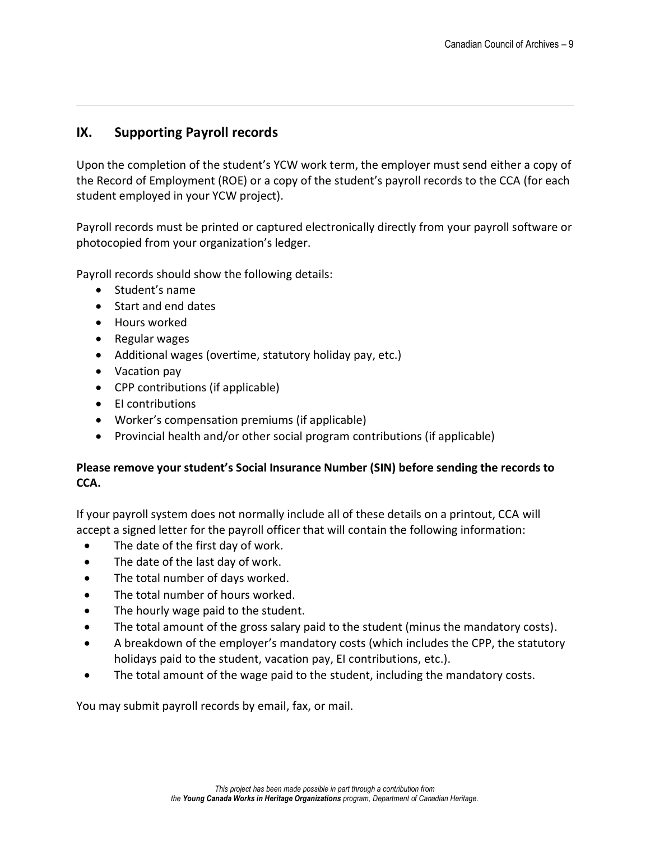### <span id="page-8-0"></span>**IX. Supporting Payroll records**

Upon the completion of the student's YCW work term, the employer must send either a copy of the Record of Employment (ROE) or a copy of the student's payroll records to the CCA (for each student employed in your YCW project).

Payroll records must be printed or captured electronically directly from your payroll software or photocopied from your organization's ledger.

Payroll records should show the following details:

- Student's name
- Start and end dates
- Hours worked
- Regular wages
- Additional wages (overtime, statutory holiday pay, etc.)
- Vacation pay
- CPP contributions (if applicable)
- EI contributions
- Worker's compensation premiums (if applicable)
- Provincial health and/or other social program contributions (if applicable)

#### **Please remove your student's Social Insurance Number (SIN) before sending the records to CCA.**

If your payroll system does not normally include all of these details on a printout, CCA will accept a signed letter for the payroll officer that will contain the following information:

- The date of the first day of work.
- The date of the last day of work.
- The total number of days worked.
- The total number of hours worked.
- The hourly wage paid to the student.
- The total amount of the gross salary paid to the student (minus the mandatory costs).
- A breakdown of the employer's mandatory costs (which includes the CPP, the statutory holidays paid to the student, vacation pay, EI contributions, etc.).
- The total amount of the wage paid to the student, including the mandatory costs.

You may submit payroll records by email, fax, or mail.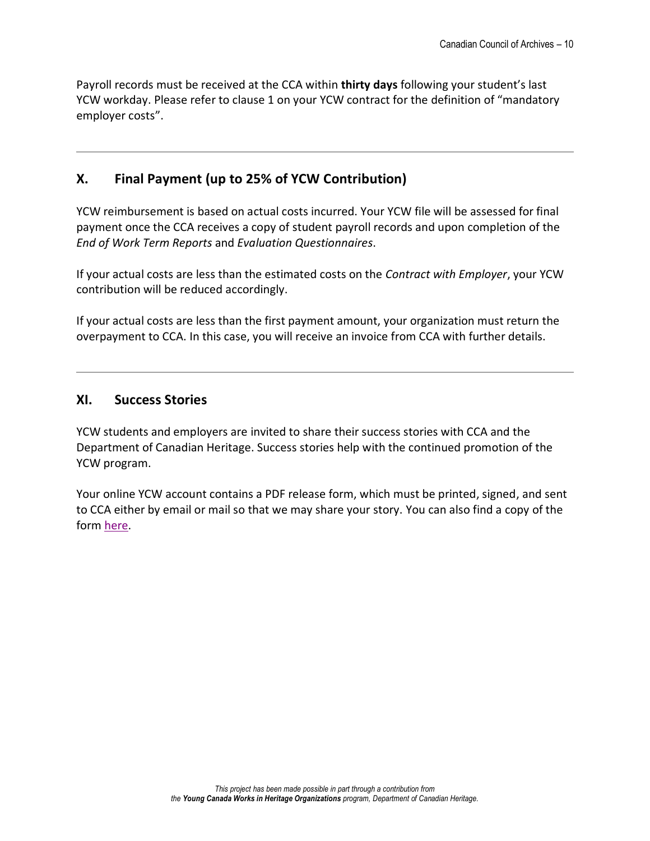Payroll records must be received at the CCA within **thirty days** following your student's last YCW workday. Please refer to clause 1 on your YCW contract for the definition of "mandatory employer costs".

## <span id="page-9-0"></span>**X. Final Payment (up to 25% of YCW Contribution)**

YCW reimbursement is based on actual costs incurred. Your YCW file will be assessed for final payment once the CCA receives a copy of student payroll records and upon completion of the *End of Work Term Reports* and *Evaluation Questionnaires*.

If your actual costs are less than the estimated costs on the *Contract with Employer*, your YCW contribution will be reduced accordingly.

If your actual costs are less than the first payment amount, your organization must return the overpayment to CCA. In this case, you will receive an invoice from CCA with further details.

#### <span id="page-9-1"></span>**XI. Success Stories**

YCW students and employers are invited to share their success stories with CCA and the Department of Canadian Heritage. Success stories help with the continued promotion of the YCW program.

Your online YCW account contains a PDF release form, which must be printed, signed, and sent to CCA either by email or mail so that we may share your story. You can also find a copy of the form [here.](http://archivescanada.ca/YCW#DocumentsEN)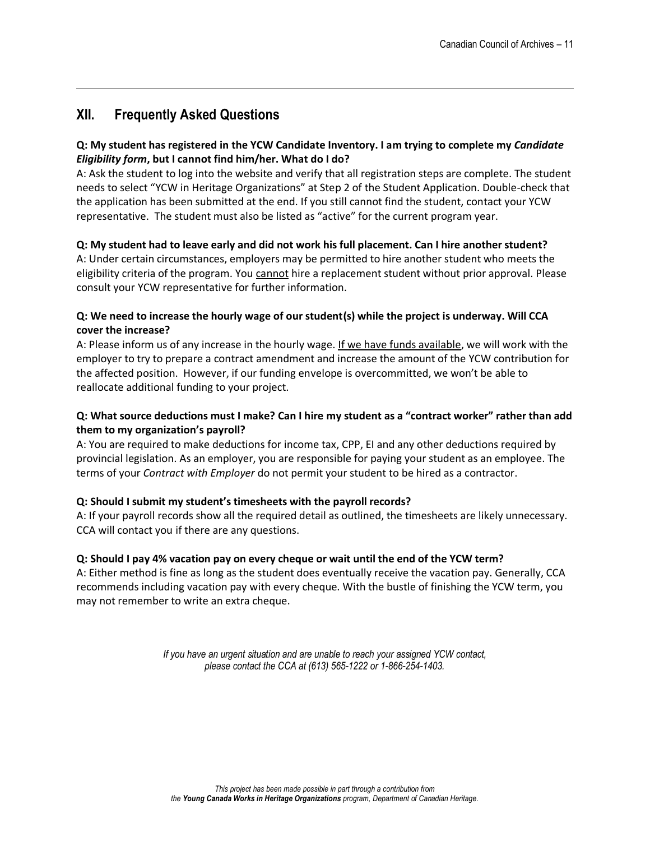## <span id="page-10-0"></span>**XII. Frequently Asked Questions**

#### **Q: My student has registered in the YCW Candidate Inventory. I am trying to complete my** *Candidate Eligibility form***, but I cannot find him/her. What do I do?**

A: Ask the student to log into the website and verify that all registration steps are complete. The student needs to select "YCW in Heritage Organizations" at Step 2 of the Student Application. Double-check that the application has been submitted at the end. If you still cannot find the student, contact your YCW representative. The student must also be listed as "active" for the current program year.

#### **Q: My student had to leave early and did not work his full placement. Can I hire another student?**

A: Under certain circumstances, employers may be permitted to hire another student who meets the eligibility criteria of the program. You cannot hire a replacement student without prior approval. Please consult your YCW representative for further information.

#### **Q: We need to increase the hourly wage of our student(s) while the project is underway. Will CCA cover the increase?**

A: Please inform us of any increase in the hourly wage. If we have funds available, we will work with the employer to try to prepare a contract amendment and increase the amount of the YCW contribution for the affected position. However, if our funding envelope is overcommitted, we won't be able to reallocate additional funding to your project.

#### **Q: What source deductions must I make? Can I hire my student as a "contract worker" rather than add them to my organization's payroll?**

A: You are required to make deductions for income tax, CPP, EI and any other deductions required by provincial legislation. As an employer, you are responsible for paying your student as an employee. The terms of your *Contract with Employer* do not permit your student to be hired as a contractor.

#### **Q: Should I submit my student's timesheets with the payroll records?**

A: If your payroll records show all the required detail as outlined, the timesheets are likely unnecessary. CCA will contact you if there are any questions.

#### **Q: Should I pay 4% vacation pay on every cheque or wait until the end of the YCW term?**

A: Either method is fine as long as the student does eventually receive the vacation pay. Generally, CCA recommends including vacation pay with every cheque. With the bustle of finishing the YCW term, you may not remember to write an extra cheque.

> *If you have an urgent situation and are unable to reach your assigned YCW contact, please contact the CCA at (613) 565-1222 or 1-866-254-1403.*